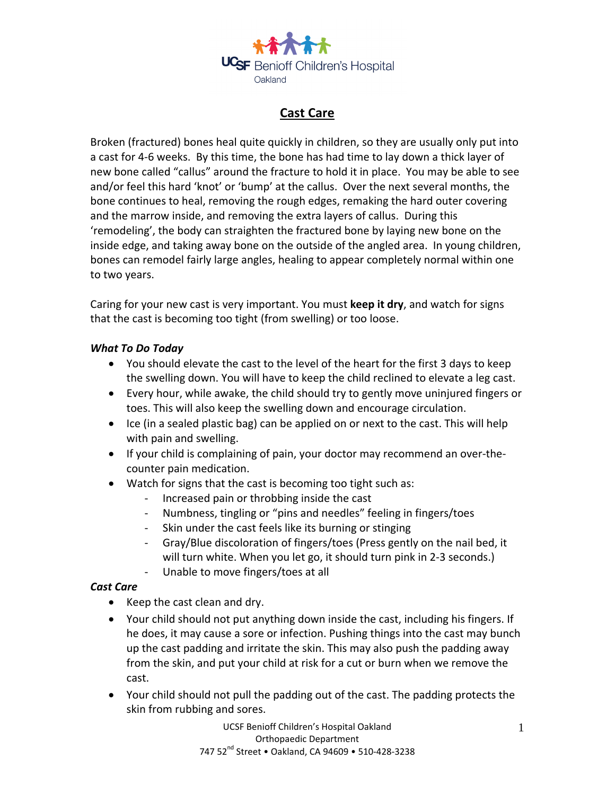

# **Cast Care**

Broken (fractured) bones heal quite quickly in children, so they are usually only put into a cast for 4-6 weeks. By this time, the bone has had time to lay down a thick layer of new bone called "callus" around the fracture to hold it in place. You may be able to see and/or feel this hard 'knot' or 'bump' at the callus. Over the next several months, the bone continues to heal, removing the rough edges, remaking the hard outer covering and the marrow inside, and removing the extra layers of callus. During this 'remodeling', the body can straighten the fractured bone by laying new bone on the inside edge, and taking away bone on the outside of the angled area. In young children, bones can remodel fairly large angles, healing to appear completely normal within one to two years.

Caring for your new cast is very important. You must **keep it dry**, and watch for signs that the cast is becoming too tight (from swelling) or too loose.

#### *What To Do Today*

- You should elevate the cast to the level of the heart for the first 3 days to keep the swelling down. You will have to keep the child reclined to elevate a leg cast.
- Every hour, while awake, the child should try to gently move uninjured fingers or toes. This will also keep the swelling down and encourage circulation.
- Ice (in a sealed plastic bag) can be applied on or next to the cast. This will help with pain and swelling.
- If your child is complaining of pain, your doctor may recommend an over-thecounter pain medication.
- Watch for signs that the cast is becoming too tight such as:
	- Increased pain or throbbing inside the cast
	- Numbness, tingling or "pins and needles" feeling in fingers/toes
	- Skin under the cast feels like its burning or stinging
	- Gray/Blue discoloration of fingers/toes (Press gently on the nail bed, it will turn white. When you let go, it should turn pink in 2-3 seconds.)
	- Unable to move fingers/toes at all

## *Cast Care*

- Keep the cast clean and dry.
- Your child should not put anything down inside the cast, including his fingers. If he does, it may cause a sore or infection. Pushing things into the cast may bunch up the cast padding and irritate the skin. This may also push the padding away from the skin, and put your child at risk for a cut or burn when we remove the cast.
- Your child should not pull the padding out of the cast. The padding protects the skin from rubbing and sores.